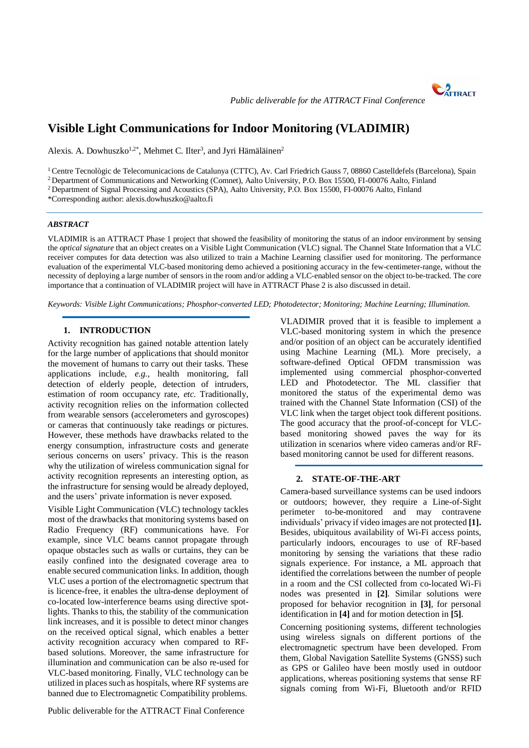

*Public deliverable for the ATTRACT Final Conference*

# **Visible Light Communications for Indoor Monitoring (VLADIMIR)**

Alexis. A. Dowhuszko<sup>1,2\*</sup>, Mehmet C. Ilter<sup>3</sup>, and Jyri Hämäläinen<sup>2</sup>

<sup>1</sup> Centre Tecnològic de Telecomunicacions de Catalunya (CTTC), Av. Carl Friedrich Gauss 7, 08860 Castelldefels (Barcelona), Spain

<sup>2</sup> Department of Communications and Networking (Comnet), Aalto University, P.O. Box 15500, FI-00076 Aalto, Finland

<sup>2</sup> Department of Signal Processing and Acoustics (SPA), Aalto University, P.O. Box 15500, FI-00076 Aalto, Finland

\*Corresponding author: alexis.dowhuszko@aalto.fi

### *ABSTRACT*

VLADIMIR is an ATTRACT Phase 1 project that showed the feasibility of monitoring the status of an indoor environment by sensing the *optical signature* that an object creates on a Visible Light Communication (VLC) signal. The Channel State Information that a VLC receiver computes for data detection was also utilized to train a Machine Learning classifier used for monitoring. The performance evaluation of the experimental VLC-based monitoring demo achieved a positioning accuracy in the few-centimeter-range, without the necessity of deploying a large number of sensors in the room and/or adding a VLC-enabled sensor on the object to-be-tracked. The core importance that a continuation of VLADIMIR project will have in ATTRACT Phase 2 is also discussed in detail.

*Keywords: Visible Light Communications; Phosphor-converted LED; Photodetector; Monitoring; Machine Learning; Illumination.*

## **1. INTRODUCTION**

Activity recognition has gained notable attention lately for the large number of applications that should monitor the movement of humans to carry out their tasks. These applications include, *e.g.*, health monitoring, fall detection of elderly people, detection of intruders, estimation of room occupancy rate, *etc.* Traditionally, activity recognition relies on the information collected from wearable sensors (accelerometers and gyroscopes) or cameras that continuously take readings or pictures. However, these methods have drawbacks related to the energy consumption, infrastructure costs and generate serious concerns on users' privacy. This is the reason why the utilization of wireless communication signal for activity recognition represents an interesting option, as the infrastructure for sensing would be already deployed, and the users' private information is never exposed.

Visible Light Communication (VLC) technology tackles most of the drawbacks that monitoring systems based on Radio Frequency (RF) communications have. For example, since VLC beams cannot propagate through opaque obstacles such as walls or curtains, they can be easily confined into the designated coverage area to enable secured communication links. In addition, though VLC uses a portion of the electromagnetic spectrum that is licence-free, it enables the ultra-dense deployment of co-located low-interference beams using directive spotlights. Thanks to this, the stability of the communication link increases, and it is possible to detect minor changes on the received optical signal, which enables a better activity recognition accuracy when compared to RFbased solutions. Moreover, the same infrastructure for illumination and communication can be also re-used for VLC-based monitoring. Finally, VLC technology can be utilized in places such as hospitals, where RF systems are banned due to Electromagnetic Compatibility problems.

VLADIMIR proved that it is feasible to implement a VLC-based monitoring system in which the presence and/or position of an object can be accurately identified using Machine Learning (ML). More precisely, a software-defined Optical OFDM transmission was implemented using commercial phosphor-converted LED and Photodetector. The ML classifier that monitored the status of the experimental demo was trained with the Channel State Information (CSI) of the VLC link when the target object took different positions. The good accuracy that the proof-of-concept for VLCbased monitoring showed paves the way for its utilization in scenarios where video cameras and/or RFbased monitoring cannot be used for different reasons.

## **2. STATE-OF-THE-ART**

Camera-based surveillance systems can be used indoors or outdoors; however, they require a Line-of-Sight perimeter to-be-monitored and may contravene individuals' privacy if video images are not protected **[1].** Besides, ubiquitous availability of Wi-Fi access points, particularly indoors, encourages to use of RF-based monitoring by sensing the variations that these radio signals experience. For instance, a ML approach that identified the correlations between the number of people in a room and the CSI collected from co-located Wi-Fi nodes was presented in **[2]**. Similar solutions were proposed for behavior recognition in **[3]**, for personal identification in **[4]** and for motion detection in **[5]**.

Concerning positioning systems, different technologies using wireless signals on different portions of the electromagnetic spectrum have been developed. From them, Global Navigation Satellite Systems (GNSS) such as GPS or Galileo have been mostly used in outdoor applications, whereas positioning systems that sense RF signals coming from Wi-Fi, Bluetooth and/or RFID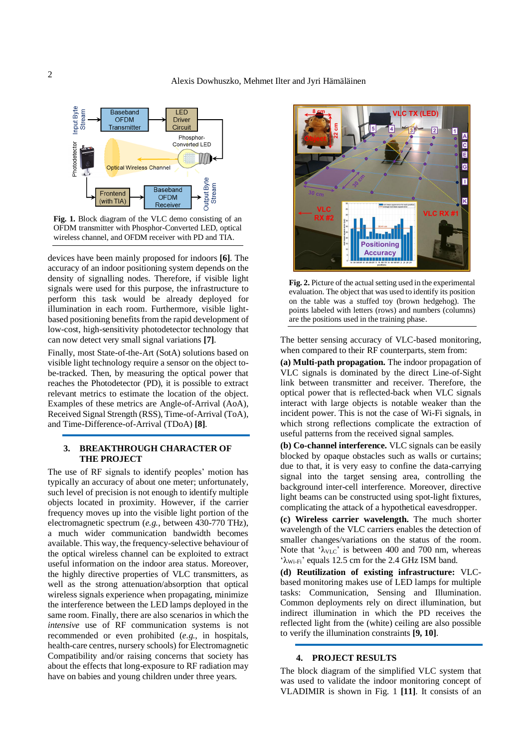

**Fig. 1.** Block diagram of the VLC demo consisting of an OFDM transmitter with Phosphor-Converted LED, optical wireless channel, and OFDM receiver with PD and TIA.

devices have been mainly proposed for indoors **[6]**. The accuracy of an indoor positioning system depends on the density of signalling nodes. Therefore, if visible light signals were used for this purpose, the infrastructure to perform this task would be already deployed for illumination in each room. Furthermore, visible lightbased positioning benefits from the rapid development of low-cost, high-sensitivity photodetector technology that can now detect very small signal variations **[7]**.

Finally, most State-of-the-Art (SotA) solutions based on visible light technology require a sensor on the object tobe-tracked. Then, by measuring the optical power that reaches the Photodetector (PD), it is possible to extract relevant metrics to estimate the location of the object. Examples of these metrics are Angle-of-Arrival (AoA), Received Signal Strength (RSS), Time-of-Arrival (ToA), and Time-Difference-of-Arrival (TDoA) **[8]**.

## **3. BREAKTHROUGH CHARACTER OF THE PROJECT**

The use of RF signals to identify peoples' motion has typically an accuracy of about one meter; unfortunately, such level of precision is not enough to identify multiple objects located in proximity. However, if the carrier frequency moves up into the visible light portion of the electromagnetic spectrum (*e.g.*, between 430-770 THz), a much wider communication bandwidth becomes available. This way, the frequency-selective behaviour of the optical wireless channel can be exploited to extract useful information on the indoor area status. Moreover, the highly directive properties of VLC transmitters, as well as the strong attenuation/absorption that optical wireless signals experience when propagating, minimize the interference between the LED lamps deployed in the same room. Finally, there are also scenarios in which the *intensive* use of RF communication systems is not recommended or even prohibited (*e.g.*, in hospitals, health-care centres, nursery schools) for Electromagnetic Compatibility and/or raising concerns that society has about the effects that long-exposure to RF radiation may have on babies and young children under three years.



**Fig. 2.** Picture of the actual setting used in the experimental evaluation. The object that was used to identify its position on the table was a stuffed toy (brown hedgehog). The points labeled with letters (rows) and numbers (columns) are the positions used in the training phase.

The better sensing accuracy of VLC-based monitoring, when compared to their RF counterparts, stem from:

**(a) Multi-path propagation.** The indoor propagation of VLC signals is dominated by the direct Line-of-Sight link between transmitter and receiver. Therefore, the optical power that is reflected-back when VLC signals interact with large objects is notable weaker than the incident power. This is not the case of Wi-Fi signals, in which strong reflections complicate the extraction of useful patterns from the received signal samples.

**(b) Co-channel interference.** VLC signals can be easily blocked by opaque obstacles such as walls or curtains; due to that, it is very easy to confine the data-carrying signal into the target sensing area, controlling the background inter-cell interference. Moreover, directive light beams can be constructed using spot-light fixtures, complicating the attack of a hypothetical eavesdropper.

**(c) Wireless carrier wavelength.** The much shorter wavelength of the VLC carriers enables the detection of smaller changes/variations on the status of the room. Note that ' $\lambda_{\text{VLC}}$ ' is between 400 and 700 nm, whereas 'λWi-Fi' equals 12.5 cm for the 2.4 GHz ISM band.

**(d) Reutilization of existing infrastructure:** VLCbased monitoring makes use of LED lamps for multiple tasks: Communication, Sensing and Illumination. Common deployments rely on direct illumination, but indirect illumination in which the PD receives the reflected light from the (white) ceiling are also possible to verify the illumination constraints **[9, 10]**.

#### **4. PROJECT RESULTS**

The block diagram of the simplified VLC system that was used to validate the indoor monitoring concept of VLADIMIR is shown in Fig. 1 **[11]**. It consists of an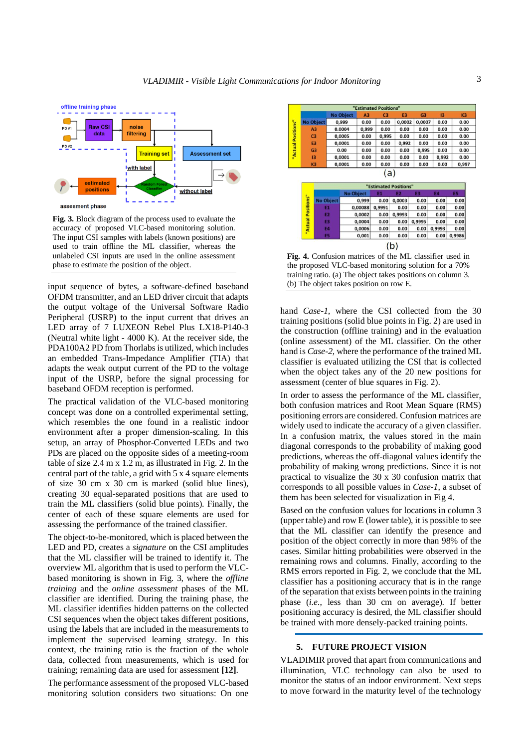

**Fig. 3.** Block diagram of the process used to evaluate the accuracy of proposed VLC-based monitoring solution. The input CSI samples with labels (known positions) are used to train offline the ML classifier, whereas the unlabeled CSI inputs are used in the online assessment phase to estimate the position of the object.

input sequence of bytes, a software-defined baseband OFDM transmitter, and an LED driver circuit that adapts the output voltage of the Universal Software Radio Peripheral (USRP) to the input current that drives an LED array of 7 LUXEON Rebel Plus LX18-P140-3 (Neutral white light - 4000 K). At the receiver side, the PDA100A2 PD from Thorlabs is utilized, which includes an embedded Trans-Impedance Amplifier (TIA) that adapts the weak output current of the PD to the voltage input of the USRP, before the signal processing for baseband OFDM reception is performed.

The practical validation of the VLC-based monitoring concept was done on a controlled experimental setting, which resembles the one found in a realistic indoor environment after a proper dimension-scaling. In this setup, an array of Phosphor-Converted LEDs and two PDs are placed on the opposite sides of a meeting-room table of size 2.4 m x 1.2 m, as illustrated in Fig. 2. In the central part of the table, a grid with 5 x 4 square elements of size 30 cm x 30 cm is marked (solid blue lines), creating 30 equal-separated positions that are used to train the ML classifiers (solid blue points). Finally, the center of each of these square elements are used for assessing the performance of the trained classifier.

The object-to-be-monitored, which is placed between the LED and PD, creates a *signature* on the CSI amplitudes that the ML classifier will be trained to identify it. The overview ML algorithm that is used to perform the VLCbased monitoring is shown in Fig. 3, where the *offline training* and the *online assessment* phases of the ML classifier are identified. During the training phase, the ML classifier identifies hidden patterns on the collected CSI sequences when the object takes different positions, using the labels that are included in the measurements to implement the supervised learning strategy. In this context, the training ratio is the fraction of the whole data, collected from measurements, which is used for training; remaining data are used for assessment **[12]**.

The performance assessment of the proposed VLC-based monitoring solution considers two situations: On one

|                  |                  |                  |                | "Estimated Positions" |                       |                |              |                |
|------------------|------------------|------------------|----------------|-----------------------|-----------------------|----------------|--------------|----------------|
|                  |                  | <b>No Object</b> | A <sub>3</sub> | C <sub>3</sub>        | E <sub>3</sub>        | G3             | 13           | K <sub>3</sub> |
| <b>No Object</b> |                  | 0,999            | 0.00           | 0.00                  | 0,0002                | 0,0007         | 0.00         | 0.00           |
| A <sub>3</sub>   | 0.0004           |                  | 0,999          | 0.00                  | 0.00                  | 0.00           | 0.00         | 0.00           |
| C <sub>3</sub>   |                  | 0,0005           |                | 0,995<br>0.00         | 0.00                  | 0.00           | 0.00<br>0.00 | 0.00<br>0.00   |
| E <sub>3</sub>   |                  | 0,0001           | 0.00           | 0.00                  | 0,992                 | 0.00           |              |                |
| G <sub>3</sub>   |                  | 0.00             | 0.00           | 0.00                  | 0.00                  | 0,995          | 0.00         | 0.00           |
| 13               |                  | 0,0001           | 0.00           | 0.00                  | 0.00                  | 0.00           | 0,992        | 0.00           |
| K <sub>3</sub>   |                  | 0.0001           |                | 0.00<br>0.00          | 0.00                  | 0.00           | 0.00         | 0,997          |
|                  |                  |                  |                | (a)                   |                       |                |              |                |
|                  |                  |                  |                |                       | "Estimated Positions" |                |              |                |
|                  |                  | <b>No Object</b> |                | E1                    | <b>E2</b>             | E <sub>3</sub> | <b>E4</b>    | E5             |
| "ositions"       | <b>No Object</b> | 0.999            |                | 0.00                  | 0.0003                | 0.00           | 0.00         | 0.00           |
|                  | <b>E1</b>        | 0.00088          |                | 0.9991                | 0.00                  | 0.00           | 0.00         | 0.00           |
|                  | <b>PA</b>        |                  | 0.0003         | 0.00                  | 0.0002                | 0.00           | 0.00         | n nnl          |

 $0,0004$  $0.00$  $0.00 0,9995$  $0.00$  $0.00$ 0,0006  $0.00$  $0.00$  $0.00$ 0,9993  $0.00$ 0.001  $0.00$  $0.00$  $0.00$  $0.00 \big| 0,9986$  $(b)$ **Fig. 4.** Confusion matrices of the ML classifier used in the proposed VLC-based monitoring solution for a 70%

training ratio. (a) The object takes positions on column 3. (b) The object takes position on row E.

hand *Case-1*, where the CSI collected from the 30 training positions (solid blue points in Fig. 2) are used in the construction (offline training) and in the evaluation (online assessment) of the ML classifier. On the other hand is *Case-2*, where the performance of the trained ML classifier is evaluated utilizing the CSI that is collected when the object takes any of the 20 new positions for assessment (center of blue squares in Fig. 2).

In order to assess the performance of the ML classifier, both confusion matrices and Root Mean Square (RMS) positioning errors are considered. Confusion matrices are widely used to indicate the accuracy of a given classifier. In a confusion matrix, the values stored in the main diagonal corresponds to the probability of making good predictions, whereas the off-diagonal values identify the probability of making wrong predictions. Since it is not practical to visualize the 30 x 30 confusion matrix that corresponds to all possible values in *Case-1*, a subset of them has been selected for visualization in Fig 4.

Based on the confusion values for locations in column 3 (upper table) and row E (lower table), it is possible to see that the ML classifier can identify the presence and position of the object correctly in more than 98% of the cases. Similar hitting probabilities were observed in the remaining rows and columns. Finally, according to the RMS errors reported in Fig. 2, we conclude that the ML classifier has a positioning accuracy that is in the range of the separation that exists between points in the training phase (*i.e.*, less than 30 cm on average). If better positioning accuracy is desired, the ML classifier should be trained with more densely-packed training points.

## **5. FUTURE PROJECT VISION**

VLADIMIR proved that apart from communications and illumination, VLC technology can also be used to monitor the status of an indoor environment. Next steps to move forward in the maturity level of the technology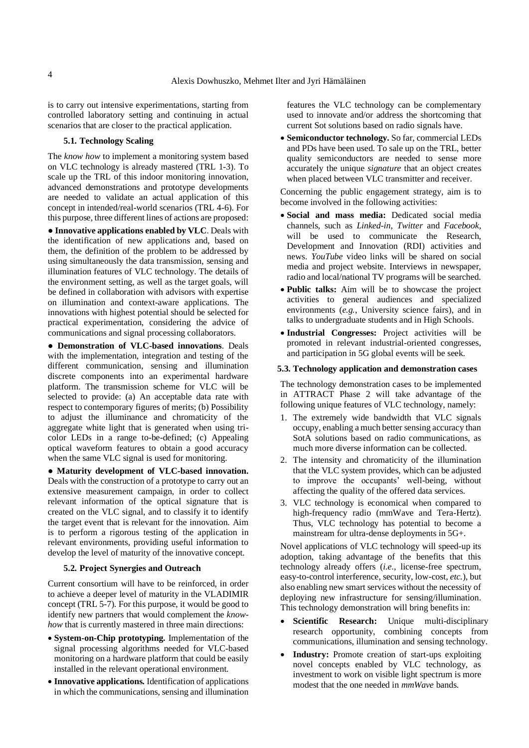is to carry out intensive experimentations, starting from controlled laboratory setting and continuing in actual scenarios that are closer to the practical application.

## **5.1. Technology Scaling**

The *know how* to implement a monitoring system based on VLC technology is already mastered (TRL 1-3). To scale up the TRL of this indoor monitoring innovation, advanced demonstrations and prototype developments are needed to validate an actual application of this concept in intended/real-world scenarios (TRL 4-6). For this purpose, three different lines of actions are proposed:

**● Innovative applications enabled by VLC**. Deals with the identification of new applications and, based on them, the definition of the problem to be addressed by using simultaneously the data transmission, sensing and illumination features of VLC technology. The details of the environment setting, as well as the target goals, will be defined in collaboration with advisors with expertise on illumination and context-aware applications. The innovations with highest potential should be selected for practical experimentation, considering the advice of communications and signal processing collaborators.

**● Demonstration of VLC-based innovations**. Deals with the implementation, integration and testing of the different communication, sensing and illumination discrete components into an experimental hardware platform. The transmission scheme for VLC will be selected to provide: (a) An acceptable data rate with respect to contemporary figures of merits; (b) Possibility to adjust the illuminance and chromaticity of the aggregate white light that is generated when using tricolor LEDs in a range to-be-defined; (c) Appealing optical waveform features to obtain a good accuracy when the same VLC signal is used for monitoring.

● **Maturity development of VLC-based innovation.** Deals with the construction of a prototype to carry out an extensive measurement campaign, in order to collect relevant information of the optical signature that is created on the VLC signal, and to classify it to identify the target event that is relevant for the innovation. Aim is to perform a rigorous testing of the application in relevant environments, providing useful information to develop the level of maturity of the innovative concept.

## **5.2. Project Synergies and Outreach**

Current consortium will have to be reinforced, in order to achieve a deeper level of maturity in the VLADIMIR concept (TRL 5-7). For this purpose, it would be good to identify new partners that would complement the *knowhow* that is currently mastered in three main directions:

- **System-on-Chip prototyping.** Implementation of the signal processing algorithms needed for VLC-based monitoring on a hardware platform that could be easily installed in the relevant operational environment.
- **Innovative applications.** Identification of applications in which the communications, sensing and illumination

features the VLC technology can be complementary used to innovate and/or address the shortcoming that current Sot solutions based on radio signals have.

• **Semiconductor technology.** So far, commercial LEDs and PDs have been used. To sale up on the TRL, better quality semiconductors are needed to sense more accurately the unique *signature* that an object creates when placed between VLC transmitter and receiver.

Concerning the public engagement strategy, aim is to become involved in the following activities:

- **Social and mass media:** Dedicated social media channels, such as *Linked-in*, *Twitter* and *Facebook*, will be used to communicate the Research, Development and Innovation (RDI) activities and news. *YouTube* video links will be shared on social media and project website. Interviews in newspaper, radio and local/national TV programs will be searched.
- **Public talks:** Aim will be to showcase the project activities to general audiences and specialized environments (*e.g.*, University science fairs), and in talks to undergraduate students and in High Schools.
- **Industrial Congresses:** Project activities will be promoted in relevant industrial-oriented congresses, and participation in 5G global events will be seek.

#### **5.3. Technology application and demonstration cases**

The technology demonstration cases to be implemented in ATTRACT Phase 2 will take advantage of the following unique features of VLC technology, namely:

- 1. The extremely wide bandwidth that VLC signals occupy, enabling a much better sensing accuracy than SotA solutions based on radio communications, as much more diverse information can be collected.
- 2. The intensity and chromaticity of the illumination that the VLC system provides, which can be adjusted to improve the occupants' well-being, without affecting the quality of the offered data services.
- 3. VLC technology is economical when compared to high-frequency radio (mmWave and Tera-Hertz). Thus, VLC technology has potential to become a mainstream for ultra-dense deployments in 5G+.

Novel applications of VLC technology will speed-up its adoption, taking advantage of the benefits that this technology already offers (*i.e.*, license-free spectrum, easy-to-control interference, security, low-cost, *etc.*), but also enabling new smart services without the necessity of deploying new infrastructure for sensing/illumination. This technology demonstration will bring benefits in:

- **Scientific Research:** Unique multi-disciplinary research opportunity, combining concepts from communications, illumination and sensing technology.
- **Industry:** Promote creation of start-ups exploiting novel concepts enabled by VLC technology, as investment to work on visible light spectrum is more modest that the one needed in *mmWave* bands.